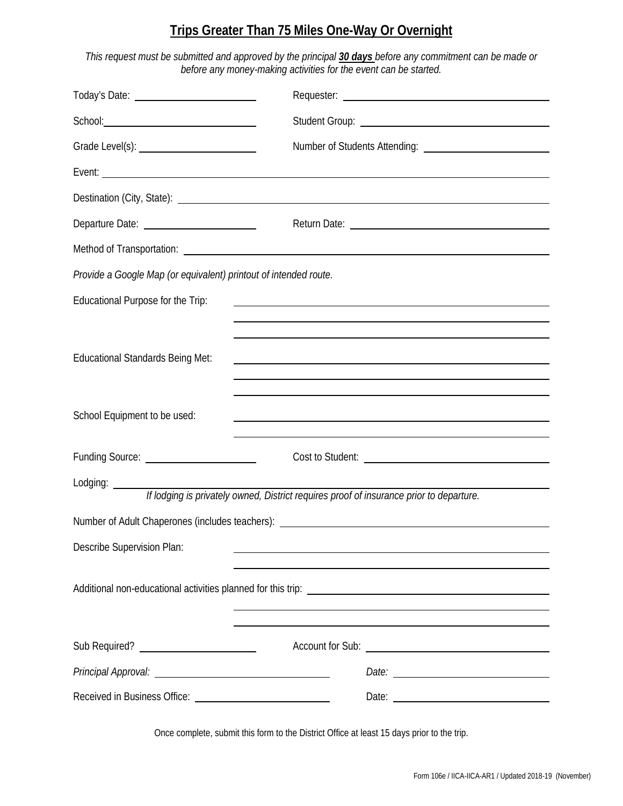## **Trips Greater Than 75 Miles One-Way Or Overnight**

*This request must be submitted and approved by the principal 30 days before any commitment can be made or before any money-making activities for the event can be started.*

| Today's Date: <u>contract and the set of the set of the set of the set of the set of the set of the set of the set of the set of the set of the set of the set of the set of the set of the set of the set of the set of the set</u> |                                                                                                                                                                                                                                      |
|--------------------------------------------------------------------------------------------------------------------------------------------------------------------------------------------------------------------------------------|--------------------------------------------------------------------------------------------------------------------------------------------------------------------------------------------------------------------------------------|
|                                                                                                                                                                                                                                      |                                                                                                                                                                                                                                      |
|                                                                                                                                                                                                                                      |                                                                                                                                                                                                                                      |
| Event: <u>example</u> and the contract of the contract of the contract of the contract of the contract of the contract of the contract of the contract of the contract of the contract of the contract of the contract of the contr  |                                                                                                                                                                                                                                      |
|                                                                                                                                                                                                                                      | Destination (City, State): <u>[1994]</u> Destination (City, State):                                                                                                                                                                  |
| Departure Date: ______________________                                                                                                                                                                                               |                                                                                                                                                                                                                                      |
|                                                                                                                                                                                                                                      | Method of Transportation: <u>example and the set of the set of the set of the set of the set of the set of the set of the set of the set of the set of the set of the set of the set of the set of the set of the set of the set</u> |
| Provide a Google Map (or equivalent) printout of intended route.                                                                                                                                                                     |                                                                                                                                                                                                                                      |
| Educational Purpose for the Trip:                                                                                                                                                                                                    |                                                                                                                                                                                                                                      |
|                                                                                                                                                                                                                                      |                                                                                                                                                                                                                                      |
| <b>Educational Standards Being Met:</b>                                                                                                                                                                                              | <u> 1989 - Johann Stoff, amerikansk politiker (d. 1989)</u>                                                                                                                                                                          |
|                                                                                                                                                                                                                                      |                                                                                                                                                                                                                                      |
| School Equipment to be used:                                                                                                                                                                                                         |                                                                                                                                                                                                                                      |
| Funding Source: _________________________                                                                                                                                                                                            |                                                                                                                                                                                                                                      |
| Lodging: $\overline{\qquad \qquad }$                                                                                                                                                                                                 | If lodging is privately owned, District requires proof of insurance prior to departure.                                                                                                                                              |
|                                                                                                                                                                                                                                      | Number of Adult Chaperones (includes teachers): ________________________________                                                                                                                                                     |
| Describe Supervision Plan:                                                                                                                                                                                                           |                                                                                                                                                                                                                                      |
|                                                                                                                                                                                                                                      |                                                                                                                                                                                                                                      |
|                                                                                                                                                                                                                                      | <u> 1989 - Johann Johann Stoff, deutscher Stoffen und der Stoffen und der Stoffen und der Stoffen und der Stoffen</u>                                                                                                                |
|                                                                                                                                                                                                                                      |                                                                                                                                                                                                                                      |
| Principal Approval: <u>contract and a series of the series of the series of the series of the series of the series of</u>                                                                                                            |                                                                                                                                                                                                                                      |
|                                                                                                                                                                                                                                      |                                                                                                                                                                                                                                      |

Once complete, submit this form to the District Office at least 15 days prior to the trip.